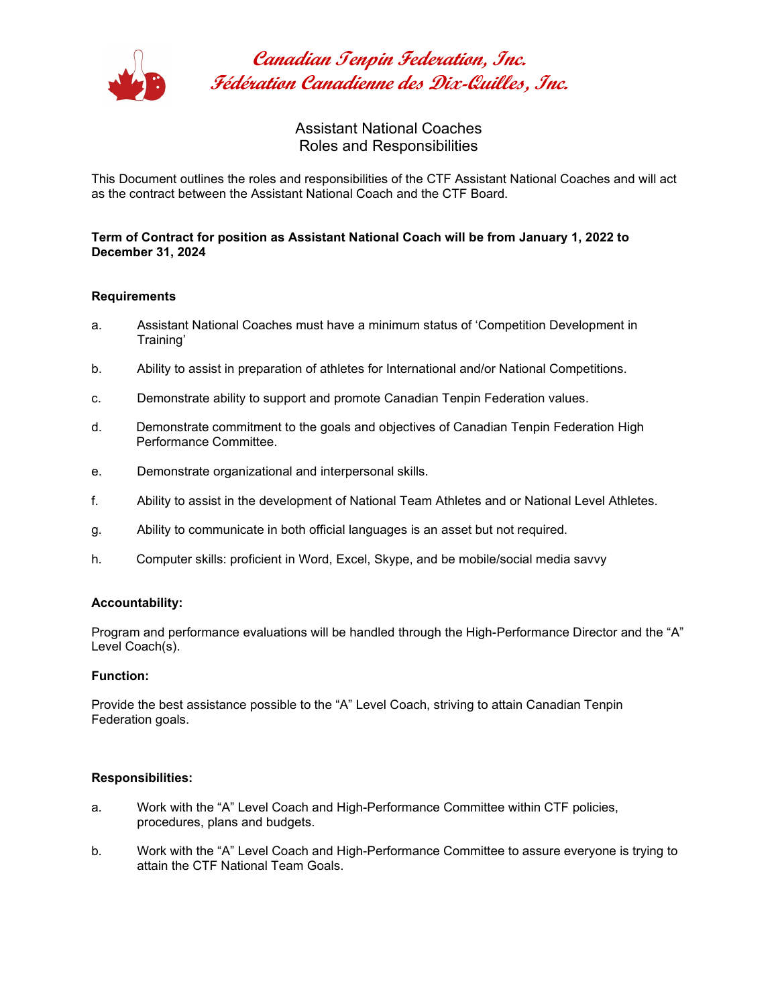

**Canadian Tenpin Federation, Inc. Fédération Canadienne des Dix-Quilles, Inc.**

> Assistant National Coaches Roles and Responsibilities

This Document outlines the roles and responsibilities of the CTF Assistant National Coaches and will act as the contract between the Assistant National Coach and the CTF Board.

## **Term of Contract for position as Assistant National Coach will be from January 1, 2022 to December 31, 2024**

### **Requirements**

- a. Assistant National Coaches must have a minimum status of 'Competition Development in Training'
- b. Ability to assist in preparation of athletes for International and/or National Competitions.
- c. Demonstrate ability to support and promote Canadian Tenpin Federation values.
- d. Demonstrate commitment to the goals and objectives of Canadian Tenpin Federation High Performance Committee.
- e. Demonstrate organizational and interpersonal skills.
- f. Ability to assist in the development of National Team Athletes and or National Level Athletes.
- g. Ability to communicate in both official languages is an asset but not required.
- h. Computer skills: proficient in Word, Excel, Skype, and be mobile/social media savvy

### **Accountability:**

Program and performance evaluations will be handled through the High-Performance Director and the "A" Level Coach(s).

### **Function:**

Provide the best assistance possible to the "A" Level Coach, striving to attain Canadian Tenpin Federation goals.

### **Responsibilities:**

- a. Work with the "A" Level Coach and High-Performance Committee within CTF policies, procedures, plans and budgets.
- b. Work with the "A" Level Coach and High-Performance Committee to assure everyone is trying to attain the CTF National Team Goals.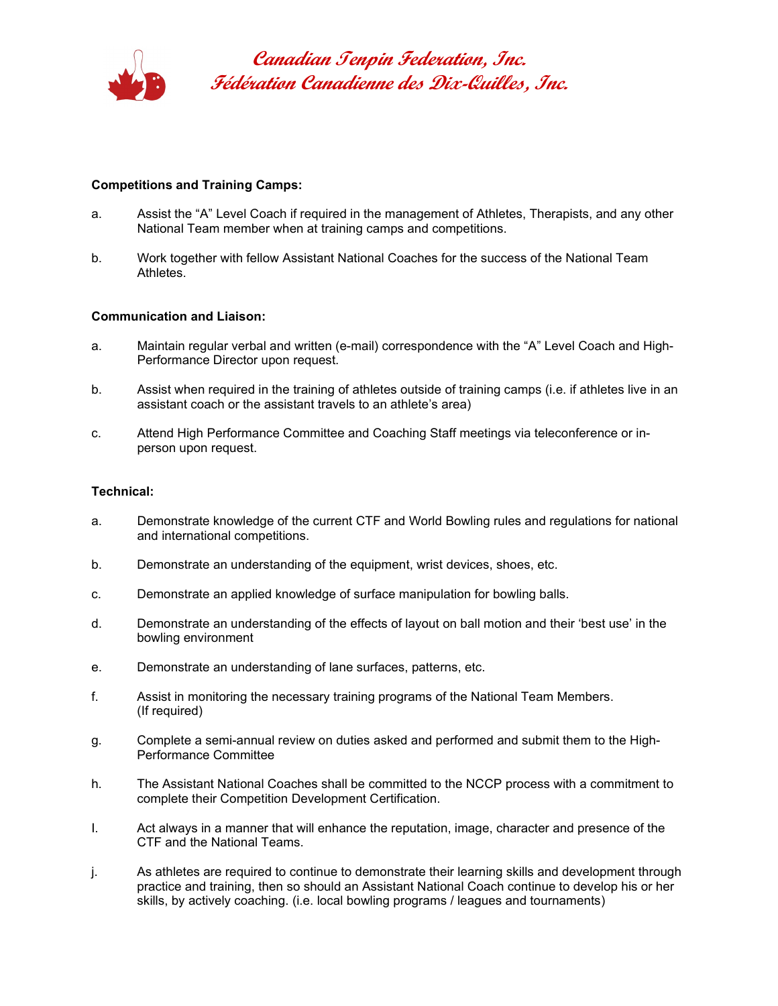

**Canadian Tenpin Federation, Inc. Fédération Canadienne des Dix-Quilles, Inc.**

## **Competitions and Training Camps:**

- a. Assist the "A" Level Coach if required in the management of Athletes, Therapists, and any other National Team member when at training camps and competitions.
- b. Work together with fellow Assistant National Coaches for the success of the National Team Athletes.

### **Communication and Liaison:**

- a. Maintain regular verbal and written (e-mail) correspondence with the "A" Level Coach and High-Performance Director upon request.
- b. Assist when required in the training of athletes outside of training camps (i.e. if athletes live in an assistant coach or the assistant travels to an athlete's area)
- c. Attend High Performance Committee and Coaching Staff meetings via teleconference or inperson upon request.

### **Technical:**

- a. Demonstrate knowledge of the current CTF and World Bowling rules and regulations for national and international competitions.
- b. Demonstrate an understanding of the equipment, wrist devices, shoes, etc.
- c. Demonstrate an applied knowledge of surface manipulation for bowling balls.
- d. Demonstrate an understanding of the effects of layout on ball motion and their 'best use' in the bowling environment
- e. Demonstrate an understanding of lane surfaces, patterns, etc.
- f. Assist in monitoring the necessary training programs of the National Team Members. (If required)
- g. Complete a semi-annual review on duties asked and performed and submit them to the High-Performance Committee
- h. The Assistant National Coaches shall be committed to the NCCP process with a commitment to complete their Competition Development Certification.
- I. Act always in a manner that will enhance the reputation, image, character and presence of the CTF and the National Teams.
- j. As athletes are required to continue to demonstrate their learning skills and development through practice and training, then so should an Assistant National Coach continue to develop his or her skills, by actively coaching. (i.e. local bowling programs / leagues and tournaments)